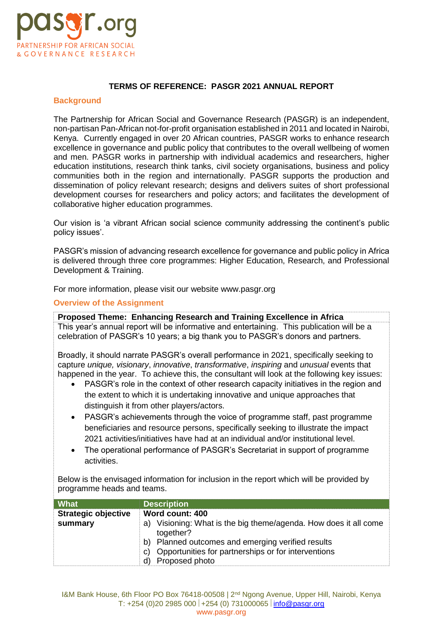

#### **TERMS OF REFERENCE: PASGR 2021 ANNUAL REPORT**

#### **Background**

The Partnership for African Social and Governance Research (PASGR) is an independent, non-partisan Pan-African not-for-profit organisation established in 2011 and located in Nairobi, Kenya. Currently engaged in over 20 African countries, PASGR works to enhance research excellence in governance and public policy that contributes to the overall wellbeing of women and men. PASGR works in partnership with individual academics and researchers, higher education institutions, research think tanks, civil society organisations, business and policy communities both in the region and internationally. PASGR supports the production and dissemination of policy relevant research; designs and delivers suites of short professional development courses for researchers and policy actors; and facilitates the development of collaborative higher education programmes.

Our vision is 'a vibrant African social science community addressing the continent's public policy issues'.

PASGR's mission of advancing research excellence for governance and public policy in Africa is delivered through three core programmes: Higher Education, Research, and Professional Development & Training.

For more information, please visit our website www.pasgr.org

## **Overview of the Assignment**

**Proposed Theme: Enhancing Research and Training Excellence in Africa**  This year's annual report will be informative and entertaining. This publication will be a celebration of PASGR's 10 years; a big thank you to PASGR's donors and partners.

Broadly, it should narrate PASGR's overall performance in 2021, specifically seeking to capture *unique, visionary*, *innovative*, *transformative*, *inspiring* and *unusual* events that happened in the year. To achieve this, the consultant will look at the following key issues:

- PASGR's role in the context of other research capacity initiatives in the region and the extent to which it is undertaking innovative and unique approaches that distinguish it from other players/actors.
- PASGR's achievements through the voice of programme staff, past programme beneficiaries and resource persons, specifically seeking to illustrate the impact 2021 activities/initiatives have had at an individual and/or institutional level.
- The operational performance of PASGR's Secretariat in support of programme activities.

Below is the envisaged information for inclusion in the report which will be provided by programme heads and teams.

| <b>What</b>                | <b>Description</b>                                                                                                                                                                                                   |
|----------------------------|----------------------------------------------------------------------------------------------------------------------------------------------------------------------------------------------------------------------|
| <b>Strategic objective</b> | Word count: 400                                                                                                                                                                                                      |
| summary                    | a) Visioning: What is the big theme/agenda. How does it all come<br>together?<br>b) Planned outcomes and emerging verified results<br>Opportunities for partnerships or for interventions<br>C)<br>d) Proposed photo |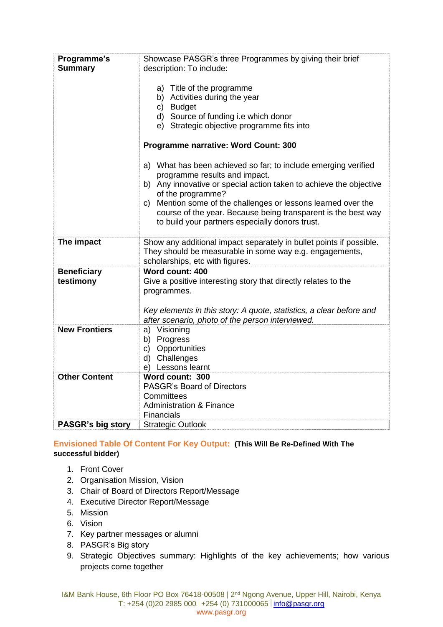| Programme's<br><b>Summary</b>   | Showcase PASGR's three Programmes by giving their brief<br>description: To include:<br>a) Title of the programme<br>b) Activities during the year<br>c) Budget<br>d) Source of funding i.e which donor<br>e) Strategic objective programme fits into<br>Programme narrative: Word Count: 300<br>a) What has been achieved so far; to include emerging verified<br>programme results and impact.<br>b) Any innovative or special action taken to achieve the objective<br>of the programme?<br>c) Mention some of the challenges or lessons learned over the<br>course of the year. Because being transparent is the best way<br>to build your partners especially donors trust. |
|---------------------------------|---------------------------------------------------------------------------------------------------------------------------------------------------------------------------------------------------------------------------------------------------------------------------------------------------------------------------------------------------------------------------------------------------------------------------------------------------------------------------------------------------------------------------------------------------------------------------------------------------------------------------------------------------------------------------------|
| The impact                      | Show any additional impact separately in bullet points if possible.<br>They should be measurable in some way e.g. engagements,<br>scholarships, etc with figures.                                                                                                                                                                                                                                                                                                                                                                                                                                                                                                               |
| <b>Beneficiary</b><br>testimony | Word count: 400<br>Give a positive interesting story that directly relates to the<br>programmes.<br>Key elements in this story: A quote, statistics, a clear before and<br>after scenario, photo of the person interviewed.                                                                                                                                                                                                                                                                                                                                                                                                                                                     |
| <b>New Frontiers</b>            | a) Visioning<br>b) Progress<br>c) Opportunities<br>d) Challenges<br>e) Lessons learnt                                                                                                                                                                                                                                                                                                                                                                                                                                                                                                                                                                                           |
| <b>Other Content</b>            | Word count: 300<br><b>PASGR's Board of Directors</b><br>Committees<br><b>Administration &amp; Finance</b><br><b>Financials</b>                                                                                                                                                                                                                                                                                                                                                                                                                                                                                                                                                  |
| PASGR's big story               | <b>Strategic Outlook</b>                                                                                                                                                                                                                                                                                                                                                                                                                                                                                                                                                                                                                                                        |

**Envisioned Table Of Content For Key Output: (This Will Be Re-Defined With The successful bidder)**

- 1. Front Cover
- 2. Organisation Mission, Vision
- 3. Chair of Board of Directors Report/Message
- 4. Executive Director Report/Message
- 5. Mission
- 6. Vision
- 7. Key partner messages or alumni
- 8. PASGR's Big story
- 9. Strategic Objectives summary: Highlights of the key achievements; how various projects come together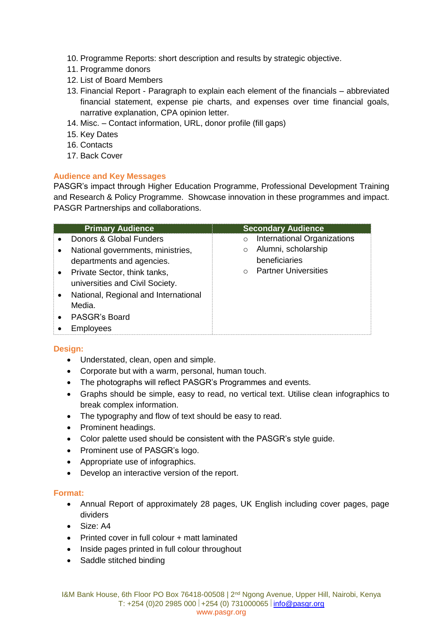- 10. Programme Reports: short description and results by strategic objective.
- 11. Programme donors
- 12. List of Board Members
- 13. Financial Report Paragraph to explain each element of the financials abbreviated financial statement, expense pie charts, and expenses over time financial goals, narrative explanation, CPA opinion letter.
- 14. Misc. Contact information, URL, donor profile (fill gaps)
- 15. Key Dates
- 16. Contacts
- 17. Back Cover

# **Audience and Key Messages**

PASGR's impact through Higher Education Programme, Professional Development Training and Research & Policy Programme. Showcase innovation in these programmes and impact. PASGR Partnerships and collaborations.

| <b>Primary Audience</b>                                         | <b>Secondary Audience</b>                       |
|-----------------------------------------------------------------|-------------------------------------------------|
| Donors & Global Funders                                         | <b>International Organizations</b><br>$\Omega$  |
| National governments, ministries,<br>departments and agencies.  | Alumni, scholarship<br>$\circ$<br>beneficiaries |
| Private Sector, think tanks,<br>universities and Civil Society. | <b>Partner Universities</b><br>$\Omega$         |
| National, Regional and International<br>Media.                  |                                                 |
| PASGR's Board                                                   |                                                 |
| Employees                                                       |                                                 |

## **Design:**

- Understated, clean, open and simple.
- Corporate but with a warm, personal, human touch.
- The photographs will reflect PASGR's Programmes and events.
- Graphs should be simple, easy to read, no vertical text. Utilise clean infographics to break complex information.
- The typography and flow of text should be easy to read.
- Prominent headings.
- Color palette used should be consistent with the PASGR's style guide.
- Prominent use of PASGR's logo.
- Appropriate use of infographics.
- Develop an interactive version of the report.

## **Format:**

- Annual Report of approximately 28 pages, UK English including cover pages, page dividers
- Size: A4
- Printed cover in full colour + matt laminated
- Inside pages printed in full colour throughout
- Saddle stitched binding